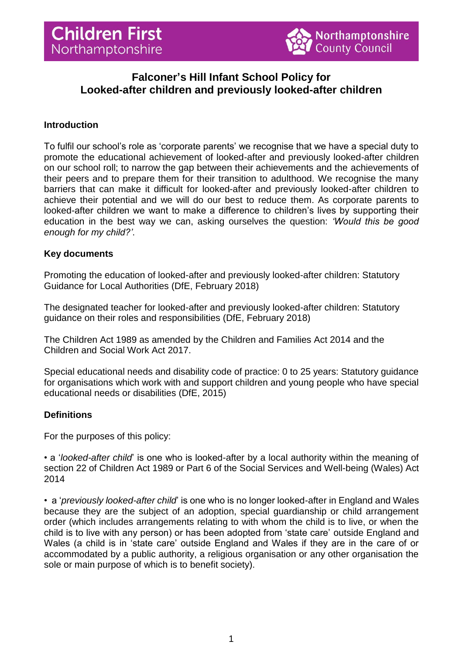

# **Falconer's Hill Infant School Policy for Looked-after children and previously looked-after children**

# **Introduction**

To fulfil our school's role as 'corporate parents' we recognise that we have a special duty to promote the educational achievement of looked-after and previously looked-after children on our school roll; to narrow the gap between their achievements and the achievements of their peers and to prepare them for their transition to adulthood. We recognise the many barriers that can make it difficult for looked-after and previously looked-after children to achieve their potential and we will do our best to reduce them. As corporate parents to looked-after children we want to make a difference to children's lives by supporting their education in the best way we can, asking ourselves the question: *'Would this be good enough for my child?'*.

## **Key documents**

Promoting the education of looked-after and previously looked-after children: Statutory Guidance for Local Authorities (DfE, February 2018)

The designated teacher for looked-after and previously looked-after children: Statutory guidance on their roles and responsibilities (DfE, February 2018)

The Children Act 1989 as amended by the Children and Families Act 2014 and the Children and Social Work Act 2017.

Special educational needs and disability code of practice: 0 to 25 years: Statutory guidance for organisations which work with and support children and young people who have special educational needs or disabilities (DfE, 2015)

# **Definitions**

For the purposes of this policy:

• a '*looked-after child*' is one who is looked-after by a local authority within the meaning of section 22 of Children Act 1989 or Part 6 of the Social Services and Well-being (Wales) Act 2014

• a '*previously looked-after child*' is one who is no longer looked-after in England and Wales because they are the subject of an adoption, special guardianship or child arrangement order (which includes arrangements relating to with whom the child is to live, or when the child is to live with any person) or has been adopted from 'state care' outside England and Wales (a child is in 'state care' outside England and Wales if they are in the care of or accommodated by a public authority, a religious organisation or any other organisation the sole or main purpose of which is to benefit society).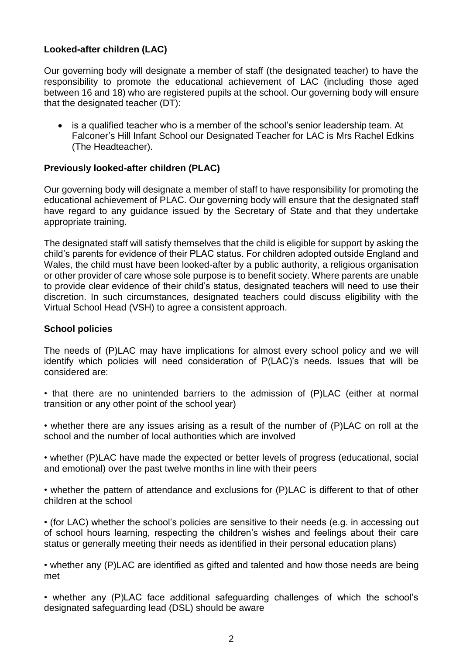# **Looked-after children (LAC)**

Our governing body will designate a member of staff (the designated teacher) to have the responsibility to promote the educational achievement of LAC (including those aged between 16 and 18) who are registered pupils at the school. Our governing body will ensure that the designated teacher (DT):

• is a qualified teacher who is a member of the school's senior leadership team. At Falconer's Hill Infant School our Designated Teacher for LAC is Mrs Rachel Edkins (The Headteacher).

# **Previously looked-after children (PLAC)**

Our governing body will designate a member of staff to have responsibility for promoting the educational achievement of PLAC. Our governing body will ensure that the designated staff have regard to any guidance issued by the Secretary of State and that they undertake appropriate training.

The designated staff will satisfy themselves that the child is eligible for support by asking the child's parents for evidence of their PLAC status. For children adopted outside England and Wales, the child must have been looked-after by a public authority, a religious organisation or other provider of care whose sole purpose is to benefit society. Where parents are unable to provide clear evidence of their child's status, designated teachers will need to use their discretion. In such circumstances, designated teachers could discuss eligibility with the Virtual School Head (VSH) to agree a consistent approach.

## **School policies**

The needs of (P)LAC may have implications for almost every school policy and we will identify which policies will need consideration of P(LAC)'s needs. Issues that will be considered are:

• that there are no unintended barriers to the admission of (P)LAC (either at normal transition or any other point of the school year)

• whether there are any issues arising as a result of the number of (P)LAC on roll at the school and the number of local authorities which are involved

• whether (P)LAC have made the expected or better levels of progress (educational, social and emotional) over the past twelve months in line with their peers

• whether the pattern of attendance and exclusions for (P)LAC is different to that of other children at the school

• (for LAC) whether the school's policies are sensitive to their needs (e.g. in accessing out of school hours learning, respecting the children's wishes and feelings about their care status or generally meeting their needs as identified in their personal education plans)

• whether any (P)LAC are identified as gifted and talented and how those needs are being met

• whether any (P)LAC face additional safeguarding challenges of which the school's designated safeguarding lead (DSL) should be aware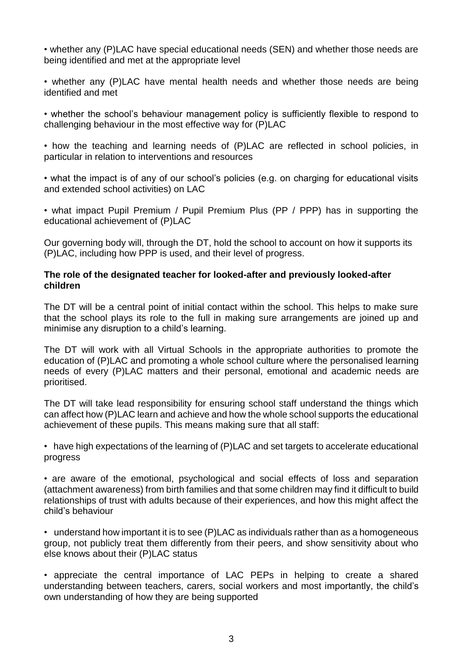• whether any (P)LAC have special educational needs (SEN) and whether those needs are being identified and met at the appropriate level

• whether any (P)LAC have mental health needs and whether those needs are being identified and met

• whether the school's behaviour management policy is sufficiently flexible to respond to challenging behaviour in the most effective way for (P)LAC

• how the teaching and learning needs of (P)LAC are reflected in school policies, in particular in relation to interventions and resources

• what the impact is of any of our school's policies (e.g. on charging for educational visits and extended school activities) on LAC

• what impact Pupil Premium / Pupil Premium Plus (PP / PPP) has in supporting the educational achievement of (P)LAC

Our governing body will, through the DT, hold the school to account on how it supports its (P)LAC, including how PPP is used, and their level of progress.

# **The role of the designated teacher for looked-after and previously looked-after children**

The DT will be a central point of initial contact within the school. This helps to make sure that the school plays its role to the full in making sure arrangements are joined up and minimise any disruption to a child's learning.

The DT will work with all Virtual Schools in the appropriate authorities to promote the education of (P)LAC and promoting a whole school culture where the personalised learning needs of every (P)LAC matters and their personal, emotional and academic needs are prioritised.

The DT will take lead responsibility for ensuring school staff understand the things which can affect how (P)LAC learn and achieve and how the whole school supports the educational achievement of these pupils. This means making sure that all staff:

• have high expectations of the learning of (P)LAC and set targets to accelerate educational progress

• are aware of the emotional, psychological and social effects of loss and separation (attachment awareness) from birth families and that some children may find it difficult to build relationships of trust with adults because of their experiences, and how this might affect the child's behaviour

• understand how important it is to see (P)LAC as individuals rather than as a homogeneous group, not publicly treat them differently from their peers, and show sensitivity about who else knows about their (P)LAC status

• appreciate the central importance of LAC PEPs in helping to create a shared understanding between teachers, carers, social workers and most importantly, the child's own understanding of how they are being supported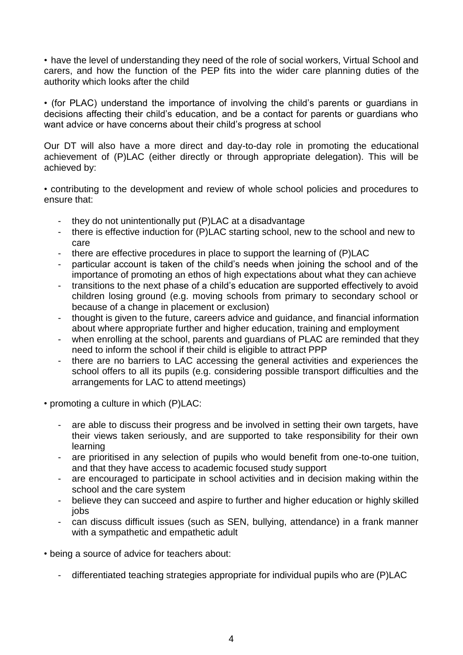• have the level of understanding they need of the role of social workers, Virtual School and carers, and how the function of the PEP fits into the wider care planning duties of the authority which looks after the child

• (for PLAC) understand the importance of involving the child's parents or guardians in decisions affecting their child's education, and be a contact for parents or guardians who want advice or have concerns about their child's progress at school

Our DT will also have a more direct and day-to-day role in promoting the educational achievement of (P)LAC (either directly or through appropriate delegation). This will be achieved by:

• contributing to the development and review of whole school policies and procedures to ensure that:

- they do not unintentionally put (P)LAC at a disadvantage
- there is effective induction for (P)LAC starting school, new to the school and new to care
- there are effective procedures in place to support the learning of (P)LAC
- particular account is taken of the child's needs when joining the school and of the importance of promoting an ethos of high expectations about what they can achieve
- transitions to the next phase of a child's education are supported effectively to avoid children losing ground (e.g. moving schools from primary to secondary school or because of a change in placement or exclusion)
- thought is given to the future, careers advice and guidance, and financial information about where appropriate further and higher education, training and employment
- when enrolling at the school, parents and guardians of PLAC are reminded that they need to inform the school if their child is eligible to attract PPP
- there are no barriers to LAC accessing the general activities and experiences the school offers to all its pupils (e.g. considering possible transport difficulties and the arrangements for LAC to attend meetings)
- promoting a culture in which (P)LAC:
	- are able to discuss their progress and be involved in setting their own targets, have their views taken seriously, and are supported to take responsibility for their own learning
	- are prioritised in any selection of pupils who would benefit from one-to-one tuition, and that they have access to academic focused study support
	- are encouraged to participate in school activities and in decision making within the school and the care system
	- believe they can succeed and aspire to further and higher education or highly skilled jobs
	- can discuss difficult issues (such as SEN, bullying, attendance) in a frank manner with a sympathetic and empathetic adult

• being a source of advice for teachers about:

- differentiated teaching strategies appropriate for individual pupils who are (P)LAC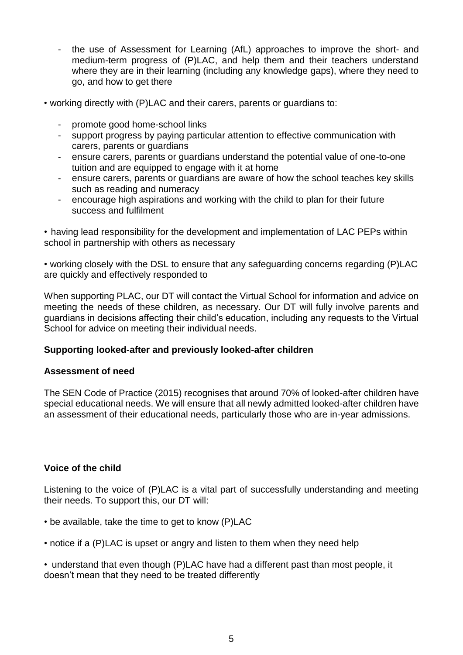- the use of Assessment for Learning (AfL) approaches to improve the short- and medium-term progress of (P)LAC, and help them and their teachers understand where they are in their learning (including any knowledge gaps), where they need to go, and how to get there
- working directly with (P)LAC and their carers, parents or guardians to:
	- promote good home-school links
	- support progress by paying particular attention to effective communication with carers, parents or guardians
	- ensure carers, parents or guardians understand the potential value of one-to-one tuition and are equipped to engage with it at home
	- ensure carers, parents or guardians are aware of how the school teaches key skills such as reading and numeracy
	- encourage high aspirations and working with the child to plan for their future success and fulfilment

• having lead responsibility for the development and implementation of LAC PEPs within school in partnership with others as necessary

• working closely with the DSL to ensure that any safeguarding concerns regarding (P)LAC are quickly and effectively responded to

When supporting PLAC, our DT will contact the Virtual School for information and advice on meeting the needs of these children, as necessary. Our DT will fully involve parents and guardians in decisions affecting their child's education, including any requests to the Virtual School for advice on meeting their individual needs.

## **Supporting looked-after and previously looked-after children**

## **Assessment of need**

The SEN Code of Practice (2015) recognises that around 70% of looked-after children have special educational needs. We will ensure that all newly admitted looked-after children have an assessment of their educational needs, particularly those who are in-year admissions.

## **Voice of the child**

Listening to the voice of (P)LAC is a vital part of successfully understanding and meeting their needs. To support this, our DT will:

- be available, take the time to get to know (P)LAC
- notice if a (P)LAC is upset or angry and listen to them when they need help

• understand that even though (P)LAC have had a different past than most people, it doesn't mean that they need to be treated differently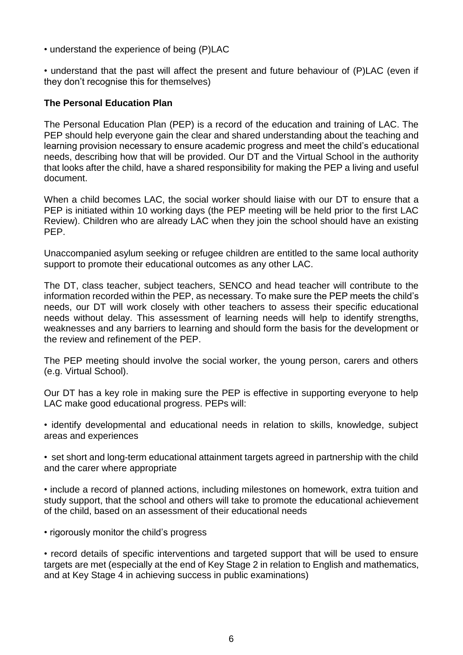• understand the experience of being (P)LAC

• understand that the past will affect the present and future behaviour of (P)LAC (even if they don't recognise this for themselves)

#### **The Personal Education Plan**

The Personal Education Plan (PEP) is a record of the education and training of LAC. The PEP should help everyone gain the clear and shared understanding about the teaching and learning provision necessary to ensure academic progress and meet the child's educational needs, describing how that will be provided. Our DT and the Virtual School in the authority that looks after the child, have a shared responsibility for making the PEP a living and useful document.

When a child becomes LAC, the social worker should liaise with our DT to ensure that a PEP is initiated within 10 working days (the PEP meeting will be held prior to the first LAC Review). Children who are already LAC when they join the school should have an existing PEP.

Unaccompanied asylum seeking or refugee children are entitled to the same local authority support to promote their educational outcomes as any other LAC.

The DT, class teacher, subject teachers, SENCO and head teacher will contribute to the information recorded within the PEP, as necessary. To make sure the PEP meets the child's needs, our DT will work closely with other teachers to assess their specific educational needs without delay. This assessment of learning needs will help to identify strengths, weaknesses and any barriers to learning and should form the basis for the development or the review and refinement of the PEP.

The PEP meeting should involve the social worker, the young person, carers and others (e.g. Virtual School).

Our DT has a key role in making sure the PEP is effective in supporting everyone to help LAC make good educational progress. PEPs will:

• identify developmental and educational needs in relation to skills, knowledge, subject areas and experiences

• set short and long-term educational attainment targets agreed in partnership with the child and the carer where appropriate

• include a record of planned actions, including milestones on homework, extra tuition and study support, that the school and others will take to promote the educational achievement of the child, based on an assessment of their educational needs

• rigorously monitor the child's progress

• record details of specific interventions and targeted support that will be used to ensure targets are met (especially at the end of Key Stage 2 in relation to English and mathematics, and at Key Stage 4 in achieving success in public examinations)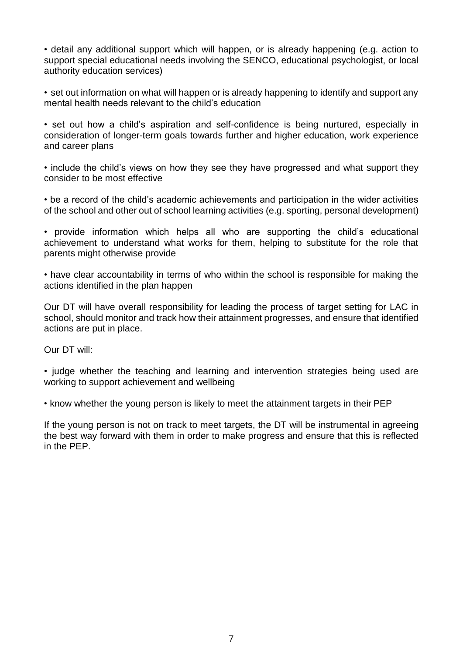• detail any additional support which will happen, or is already happening (e.g. action to support special educational needs involving the SENCO, educational psychologist, or local authority education services)

• set out information on what will happen or is already happening to identify and support any mental health needs relevant to the child's education

• set out how a child's aspiration and self-confidence is being nurtured, especially in consideration of longer-term goals towards further and higher education, work experience and career plans

• include the child's views on how they see they have progressed and what support they consider to be most effective

• be a record of the child's academic achievements and participation in the wider activities of the school and other out of school learning activities (e.g. sporting, personal development)

• provide information which helps all who are supporting the child's educational achievement to understand what works for them, helping to substitute for the role that parents might otherwise provide

• have clear accountability in terms of who within the school is responsible for making the actions identified in the plan happen

Our DT will have overall responsibility for leading the process of target setting for LAC in school, should monitor and track how their attainment progresses, and ensure that identified actions are put in place.

Our DT will:

• judge whether the teaching and learning and intervention strategies being used are working to support achievement and wellbeing

• know whether the young person is likely to meet the attainment targets in their PEP

If the young person is not on track to meet targets, the DT will be instrumental in agreeing the best way forward with them in order to make progress and ensure that this is reflected in the PEP.